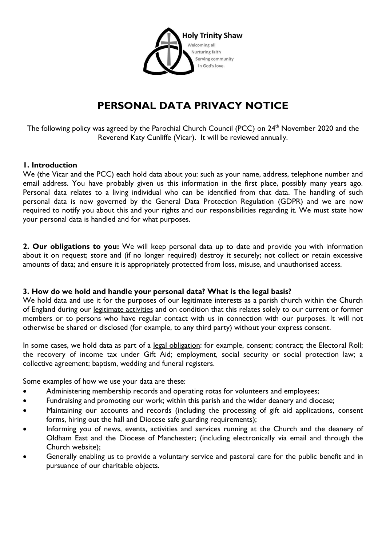

# **PERSONAL DATA PRIVACY NOTICE**

The following policy was agreed by the Parochial Church Council (PCC) on 24<sup>th</sup> November 2020 and the Reverend Katy Cunliffe (Vicar). It will be reviewed annually.

#### **1. Introduction**

We (the Vicar and the PCC) each hold data about you: such as your name, address, telephone number and email address. You have probably given us this information in the first place, possibly many years ago. Personal data relates to a living individual who can be identified from that data. The handling of such personal data is now governed by the General Data Protection Regulation (GDPR) and we are now required to notify you about this and your rights and our responsibilities regarding it. We must state how your personal data is handled and for what purposes.

**2. Our obligations to you:** We will keep personal data up to date and provide you with information about it on request; store and (if no longer required) destroy it securely; not collect or retain excessive amounts of data; and ensure it is appropriately protected from loss, misuse, and unauthorised access.

#### **3. How do we hold and handle your personal data? What is the legal basis?**

We hold data and use it for the purposes of our legitimate interests as a parish church within the Church of England during our legitimate activities and on condition that this relates solely to our current or former members or to persons who have regular contact with us in connection with our purposes. It will not otherwise be shared or disclosed (for example, to any third party) without your express consent.

In some cases, we hold data as part of a legal obligation: for example, consent; contract; the Electoral Roll; the recovery of income tax under Gift Aid; employment, social security or social protection law; a collective agreement; baptism, wedding and funeral registers.

Some examples of how we use your data are these:

- Administering membership records and operating rotas for volunteers and employees;
- Fundraising and promoting our work; within this parish and the wider deanery and diocese;
- Maintaining our accounts and records (including the processing of gift aid applications, consent forms, hiring out the hall and Diocese safe guarding requirements);
- Informing you of news, events, activities and services running at the Church and the deanery of Oldham East and the Diocese of Manchester; (including electronically via email and through the Church website);
- Generally enabling us to provide a voluntary service and pastoral care for the public benefit and in pursuance of our charitable objects.